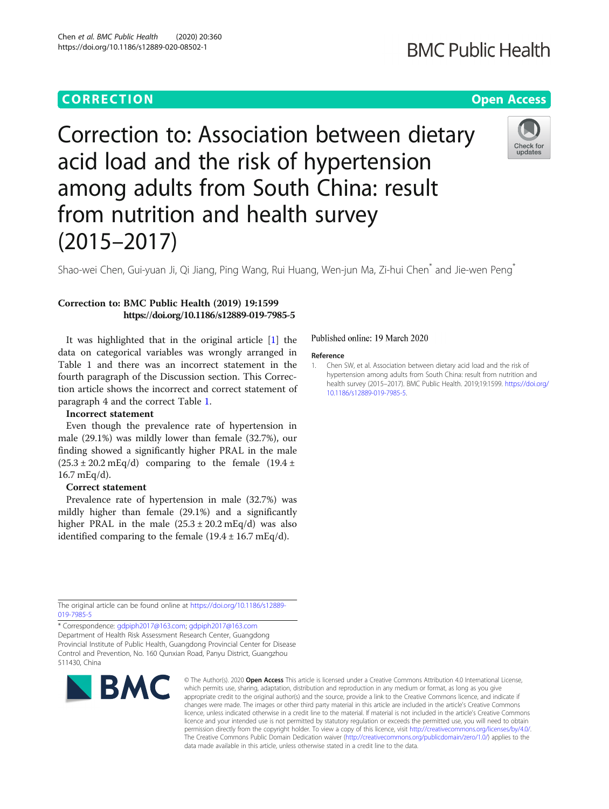Chen et al. BMC Public Health (2020) 20:360 https://doi.org/10.1186/s12889-020-08502-1

# Correction to: Association between dietary acid load and the risk of hypertension among adults from South China: result from nutrition and health survey (2015–2017)

Shao-wei Chen, Gui-yuan Ji, Qi Jiang, Ping Wang, Rui Huang, Wen-jun Ma, Zi-hui Chen\* and Jie-wen Peng\*

## Correction to: BMC Public Health (2019) 19:1599 https://doi.org/10.1186/s12889-019-7985-5

It was highlighted that in the original article [1] the data on categorical variables was wrongly arranged in Table 1 and there was an incorrect statement in the fourth paragraph of the Discussion section. This Correction article shows the incorrect and correct statement of paragraph 4 and the correct Table [1.](#page-1-0)

### Incorrect statement

Even though the prevalence rate of hypertension in male (29.1%) was mildly lower than female (32.7%), our finding showed a significantly higher PRAL in the male  $(25.3 \pm 20.2 \text{ mEq/d})$  comparing to the female  $(19.4 \pm 1)$ 16.7 mEq/d).

### Correct statement

Prevalence rate of hypertension in male (32.7%) was mildly higher than female (29.1%) and a significantly higher PRAL in the male  $(25.3 \pm 20.2 \text{ mEq/d})$  was also identified comparing to the female  $(19.4 \pm 16.7 \text{ mEq/d}).$ 

### Published online: 19 March 2020

#### Reference

1. Chen SW, et al. Association between dietary acid load and the risk of hypertension among adults from South China: result from nutrition and health survey (2015–2017). BMC Public Health. 2019;19:1599. [https://doi.org/](https://doi.org/10.1186/s12889-019-7985-5) [10.1186/s12889-019-7985-5](https://doi.org/10.1186/s12889-019-7985-5).

The original article can be found online at [https://doi.org/10.1186/s12889-](https://doi.org/10.1186/s12889-019-7985-5) 019-7985-

\* Correspondence: [gdpiph2017@163.com;](mailto:gdpiph2017@163.com) [gdpiph2017@163.com](mailto:gdpiph2017@163.com) Department of Health Risk Assessment Research Center, Guangdong Provincial Institute of Public Health, Guangdong Provincial Center for Disease Control and Prevention, No. 160 Qunxian Road, Panyu District, Guangzhou 511430, China



© The Author(s), 2020 **Open Access** This article is licensed under a Creative Commons Attribution 4.0 International License, which permits use, sharing, adaptation, distribution and reproduction in any medium or format, as long as you give appropriate credit to the original author(s) and the source, provide a link to the Creative Commons licence, and indicate if changes were made. The images or other third party material in this article are included in the article's Creative Commons licence, unless indicated otherwise in a credit line to the material. If material is not included in the article's Creative Commons licence and your intended use is not permitted by statutory regulation or exceeds the permitted use, you will need to obtain permission directly from the copyright holder. To view a copy of this licence, visit [http://creativecommons.org/licenses/by/4.0/.](http://creativecommons.org/licenses/by/4.0/) The Creative Commons Public Domain Dedication waiver [\(http://creativecommons.org/publicdomain/zero/1.0/](http://creativecommons.org/publicdomain/zero/1.0/)) applies to the data made available in this article, unless otherwise stated in a credit line to the data.

**BMC Public Health**